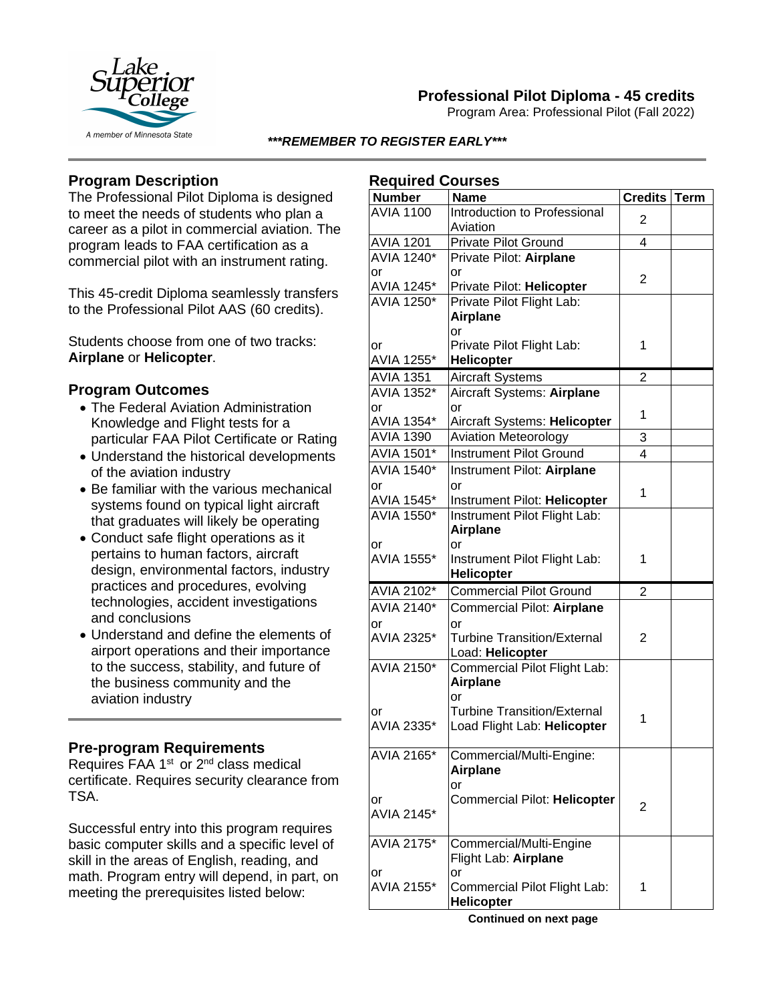

# **Professional Pilot Diploma - 45 credits**

Program Area: Professional Pilot (Fall 2022)

### *\*\*\*REMEMBER TO REGISTER EARLY\*\*\**

# **Program Description**

The Professional Pilot Diploma is designed to meet the needs of students who plan a career as a pilot in commercial aviation. The program leads to FAA certification as a commercial pilot with an instrument rating.

This 45-credit Diploma seamlessly transfers to the Professional Pilot AAS (60 credits).

Students choose from one of two tracks: **Airplane** or **Helicopter**.

## **Program Outcomes**

- The Federal Aviation Administration Knowledge and Flight tests for a particular FAA Pilot Certificate or Rating
- Understand the historical developments of the aviation industry
- Be familiar with the various mechanical systems found on typical light aircraft that graduates will likely be operating
- Conduct safe flight operations as it pertains to human factors, aircraft design, environmental factors, industry practices and procedures, evolving technologies, accident investigations and conclusions
- Understand and define the elements of airport operations and their importance to the success, stability, and future of the business community and the aviation industry

## **Pre-program Requirements**

Requires FAA 1<sup>st</sup> or 2<sup>nd</sup> class medical certificate. Requires security clearance from TSA.

Successful entry into this program requires basic computer skills and a specific level of skill in the areas of English, reading, and math. Program entry will depend, in part, on meeting the prerequisites listed below:

### **Required Courses**

| ncdailea coalaco<br><b>Number</b> | <b>Name</b>                                | <b>Credits</b> | <b>Term</b> |
|-----------------------------------|--------------------------------------------|----------------|-------------|
| <b>AVIA 1100</b>                  | Introduction to Professional               |                |             |
|                                   | Aviation                                   | 2              |             |
| <b>AVIA 1201</b>                  | <b>Private Pilot Ground</b>                | 4              |             |
| <b>AVIA 1240*</b>                 | Private Pilot: Airplane                    |                |             |
| or                                | or                                         |                |             |
| AVIA 1245*                        | Private Pilot: Helicopter                  | 2              |             |
| <b>AVIA 1250*</b>                 | Private Pilot Flight Lab:                  |                |             |
|                                   | <b>Airplane</b>                            |                |             |
|                                   | or                                         |                |             |
| or                                | Private Pilot Flight Lab:                  | 1              |             |
| AVIA 1255*                        | Helicopter                                 |                |             |
| <b>AVIA 1351</b>                  | <b>Aircraft Systems</b>                    | $\overline{2}$ |             |
| AVIA 1352*                        | Aircraft Systems: Airplane                 |                |             |
| or                                | or                                         | 1              |             |
| AVIA 1354*                        | Aircraft Systems: Helicopter               |                |             |
| <b>AVIA 1390</b>                  | <b>Aviation Meteorology</b>                | 3              |             |
| AVIA 1501*                        | <b>Instrument Pilot Ground</b>             | 4              |             |
| <b>AVIA 1540*</b>                 | Instrument Pilot: Airplane                 |                |             |
| or                                | or                                         | 1              |             |
| AVIA 1545*                        | Instrument Pilot: Helicopter               |                |             |
| AVIA 1550*                        | Instrument Pilot Flight Lab:               |                |             |
|                                   | <b>Airplane</b>                            |                |             |
| or                                | or                                         |                |             |
| AVIA 1555*                        | Instrument Pilot Flight Lab:               | 1              |             |
|                                   | Helicopter                                 |                |             |
| AVIA 2102*                        | <b>Commercial Pilot Ground</b>             | $\overline{2}$ |             |
| AVIA 2140*                        | Commercial Pilot: Airplane                 |                |             |
| or                                | or                                         |                |             |
| AVIA 2325*                        | <b>Turbine Transition/External</b>         | 2              |             |
|                                   | Load: Helicopter                           |                |             |
| <b>AVIA 2150*</b>                 | Commercial Pilot Flight Lab:               |                |             |
|                                   | <b>Airplane</b>                            |                |             |
| or                                | or<br><b>Turbine Transition/External</b>   |                |             |
| AVIA 2335*                        | Load Flight Lab: Helicopter                | 1              |             |
|                                   |                                            |                |             |
| AVIA 2165*                        | Commercial/Multi-Engine:                   |                |             |
|                                   | <b>Airplane</b>                            |                |             |
|                                   | or                                         |                |             |
| or                                | Commercial Pilot: Helicopter               | 2              |             |
| AVIA 2145*                        |                                            |                |             |
|                                   |                                            |                |             |
| AVIA 2175*                        | Commercial/Multi-Engine                    |                |             |
|                                   | Flight Lab: Airplane                       |                |             |
| or                                | or                                         |                |             |
| AVIA 2155*                        | Commercial Pilot Flight Lab:               | 1              |             |
|                                   | <b>Helicopter</b><br>Continued on novt not |                |             |

**Continued on next page**